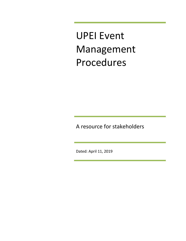UPEI Event Management Procedures

A resource for stakeholders

Dated: April 11, 2019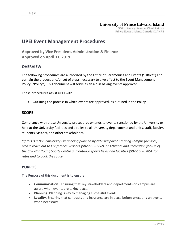## **University of Prince Edward Island**

550 University Avenue, Charlottetown Prince Edward Island, Canada C1A 4P3

# **UPEI Event Management Procedures**

**Approved by Vice President, Administration & Finance Approved on April 11, 2019**

### **OVERVIEW**

The following procedures are authorized by the Office of Ceremonies and Events ("Office") and contain the process and/or set of steps necessary to give effect to the Event Management Policy ("Policy"). This document will serve as an aid in having events approved.

These procedures assist UPEI with:

Outlining the process in which events are approved, as outlined in the Policy.

### **SCOPE**

Compliance with these University procedures extends to events sanctioned by the University or held at the University facilities and applies to all University departments and units, staff, faculty, students, visitors, and other stakeholders.

*\*If this is a Non-University Event being planned by external parties renting campus facilities, please reach out to Conference Services (902-566-0952), or Athletics and Recreation for use of the Chi-Wan Young Sports Centre and outdoor sports fields and facilities (902-566-0305), for rates and to book the space.* 

### **PURPOSE**

The Purpose of this document is to ensure:

- **Communication.** Ensuring that key stakeholders and departments on campus are aware when events are taking place.
- **Planning.** Planning is key to managing successful events.
- **Legality**. Ensuring that contracts and insurance are in place before executing an event, when necessary.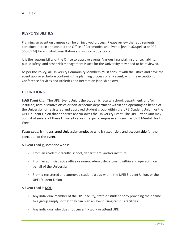## **RESPONSIBILITIES**

Planning an event on campus can be an involved process. Please review the requirements contained herein and contact the Office of Ceremonies and Events [\[events@upei.ca](mailto:events@upei.ca) or 902- 566-0974] for an initial consultation and with any questions.

It is the responsibility of the Office to approve events. Various financial, insurance, liability, public safety, and other risk management issues for the University may need to be reviewed.

As per the Policy, all University Community Members **must** consult with the Office and have the event approved before continuing the planning process of any event, with the exception of Conference Services and Athletics and Recreation (see 3b below).

### **DEFINITIONS**

*UPEI Event Unit:* The UPEI Event Unit is the academic faculty, school, department, and/or institute; administrative office or non-academic department within and operating on behalf of the University; or registered and approved student group within the UPEI Student Union, or the UPEI Student Union that endorses and/or owns the University Event. The UPEI Event Unit may consist of several of these University areas (i.e. pan-campus events such as UPEI Mental Health Week).

*Event Lead:* is the assigned University employee who is responsible and accountable for the execution of the event.

A Event Lead **IS** someone who is:

- From an academic faculty, school, department, and/or institute
- From an administrative office or non-academic department within and operating on behalf of the University
- From a registered and approved student group within the UPEI Student Union, or the UPEI Student Union

A Event Lead is **NOT:**

- Any individual member of the UPEI faculty, staff, or student body providing their name to a group simply so that they can plan an event using campus facilities
- Any individual who does not currently work or attend UPEI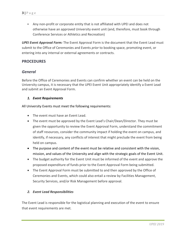Any non-profit or corporate entity that is not affiliated with UPEI and does not otherwise have an approved University event unit (and, therefore, must book through Conference Services or Athletics and Recreation)

*UPEI Event Approval Form:* The Event Approval Form is the document that the Event Lead must submit to the Office of Ceremonies and Events *prior* to booking space, promoting event, or entering into any internal or external agreements or contracts.

## **PROCEDURES**

### *General*

Before the Office of Ceremonies and Events can confirm whether an event can be held on the University campus, it is necessary that the UPEI Event Unit appropriately identify a Event Lead and submit an Event Approval Form.

#### *1. Event Requirements*

All University Events must meet the following requirements:

- The event must have an Event Lead.
- The event must be approved by the Event Lead's Chair/Dean/Director. They must be given the opportunity to review the Event Approval Form, understand the commitment of staff resources, consider the community impact if holding the event on campus, and identify, if necessary, any conflicts of interest that might preclude the event from being held on campus.
- The purpose and content of the event must be relative and consistent with the vision, mission, and values of the University and align with the strategic goals of the Event Unit.
- The budget authority for the Event Unit must be informed of the event and approve the proposed expenditure of funds prior to the Event Approval Form being submitted.
- The Event Approval Form must be submitted to and then approved by the Office of Ceremonies and Events, which could also entail a review by Facilities Management, Security Services, and/or Risk Management before approval.

#### *2. Event Lead Responsibilities*

The Event Lead is responsible for the logistical planning and execution of the event to ensure that event requirements are met.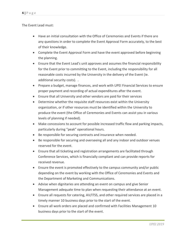The Event Lead must:

- Have an initial consultation with the Office of Ceremonies and Events if there are any questions in order to complete the Event Approval Form accurately, to the best of their knowledge.
- Complete the Event Approval Form and have the event approved before beginning the planning.
- Ensure that the Event Lead's unit approves and assumes the financial responsibility for the Event prior to committing to the Event, including the responsibility for all reasonable costs incurred by the University in the delivery of the Event (ie. additional security costs). .
- Prepare a budget, manage finances, and work with UPEI Financial Services to ensure proper payment and recording of actual expenditures after the event.
- Ensure that all University and other vendors are paid for their services
- Determine whether the requisite staff resources exist within the University organization, or if other resources must be identified within the University to produce the event (the Office of Ceremonies and Events can assist you in various levels of planning if needed).
- Make concessions to account for possible increased traffic flow and parking impacts, particularly during "peak" operational hours.
- Be responsible for securing contracts and insurance when needed.
- Be responsible for securing and overseeing all and any indoor and outdoor venues reserved for the event.
- Ensure that all ticketing and registration arrangements are facilitated through Conference Services, which is financially compliant and can provide reports for received revenue.
- Ensure the event is promoted effectively to the campus community and/or public depending on the event by working with the Office of Ceremonies and Events and the Department of Marketing and Communications.
- Advise when dignitaries are attending an event on campus and give Senior Management adequate time to plan when requesting their attendance at an event.
- Ensure all requests for catering, AV/ITSS, and other required services are placed in a timely manner 10 business days prior to the start of the event.
- Ensure all work orders are placed and confirmed with Facilities Management 10 business days prior to the start of the event.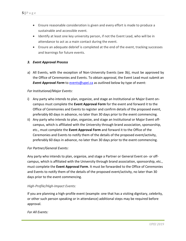- Ensure reasonable consideration is given and every effort is made to produce a sustainable and accessible event.
- Identify at least one key university person, if not the Event Lead, who will be in attendance to act as a main contact during the event.
- Ensure an adequate debrief is completed at the end of the event, tracking successes and learnings for future events.

#### *3. Event Approval Process*

a) All Events, with the exception of Non-University Events (see 3b), must be approved by the Office of Ceremonies and Events. To obtain approval, the Event Lead must submit an **Event Approval Form** to **events@upei.ca** as outlined below by type of event:

#### *For Institutional/Major Events:*

- i) Any party who intends to plan, organize, and stage an Institutional or Major Event oncampus must complete the **Event Approval Form** for the event and forward it to the Office of Ceremonies and Events to register and confirm details of the proposed event, preferably 60 days in advance, no later than 30 days prior to the event commencing.
- ii) Any party who intends to plan, organize, and stage an Institutional or Major Event offcampus, which is affiliated with the University through brand association, sponsorship, etc., must complete the **Event Approval Form** and forward it to the Office of the Ceremonies and Events to notify them of the details of the proposed event/activity, preferably 60 days in advance, no later than 30 days prior to the event commencing.

#### *For Partner/General Events:*

Any party who intends to plan, organize, and stage a Partner or General Event on- or offcampus, which is affiliated with the University through brand association, sponsorship, etc., must complete the **Event Approval Form**. It must be forwarded to the Office of Ceremonies and Events to notify them of the details of the proposed event/activity, no later than 30 days prior to the event commencing.

#### *High-Profile/High-Impact Events:*

If you are planning a high-profile event (example: one that has a visiting dignitary, celebrity, or other such person speaking or in attendance) additional steps may be required before approval.

#### *For All Events:*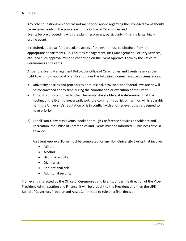Any other questions or concerns not mentioned above regarding the proposed event should be reviewed early in the process with the Office of Ceremonies and Events before proceeding with the planning process, particularly if this is a large, highprofile event.

If required, approval for particular aspects of the event must be obtained from the appropriate departments, i.e. Facilities Management, Risk Management, Security Services, etc., and such approval must be confirmed on the Event Approval Form by the Office of Ceremonies and Events.

As per the Event Management Policy, the Office of Ceremonies and Events reserves the right to withhold approval of an Event under the following, non-exhaustive circumstances:

- University policies and procedures or municipal, provincial and federal laws are or will be contravened at any time during the coordination or execution of the Event;
- Through consultation with other University stakeholders, it is determined that the hosting of the Event unnecessarily puts the community at risk of harm or will irreparably harm the University's reputation or is in conflict with another event that is deemed to have priority.
- b) For all Non-University Events, booked through Conference Services or Athletics and Recreation, the Office of Ceremonies and Events must be informed 10 business days in advance.

An Event Approval Form must be completed for any Non-University Events that involve:

- Minors
- Alcohol
- High risk activity
- **•** Dignitaries
- Reputational risk
- Additional security

If an event is rejected by the Office of Ceremonies and Events, under the direction of the Vice-President Administration and Finance, it will be brought to the President and then the UPEI Board of Governors Property and Asset Committee to rule on a final decision.